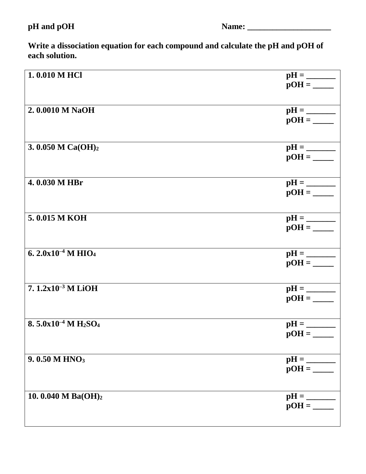## **pH and pOH Name: \_\_\_\_\_\_\_\_\_\_\_\_\_\_\_\_\_\_\_\_**

**Write a dissociation equation for each compound and calculate the pH and pOH of each solution.** 

| 1.0.010 M HCl                                    |         |
|--------------------------------------------------|---------|
| 2.0.0010 M NaOH                                  |         |
| 3. 0.050 M Ca(OH) <sub>2</sub>                   |         |
| 4.0.030 M HBr                                    |         |
| 5.0.015 M KOH                                    |         |
| 6. $2.0x10^{-4}$ M HIO <sub>4</sub>              |         |
| 7.1.2x10 <sup>-3</sup> M LiOH                    |         |
| $8.5.0x10^{-4}$ M H <sub>2</sub> SO <sub>4</sub> | $pOH =$ |
| 9.0.50 M HNO <sub>3</sub>                        |         |
| 10.0.040 M Ba(OH)2                               |         |